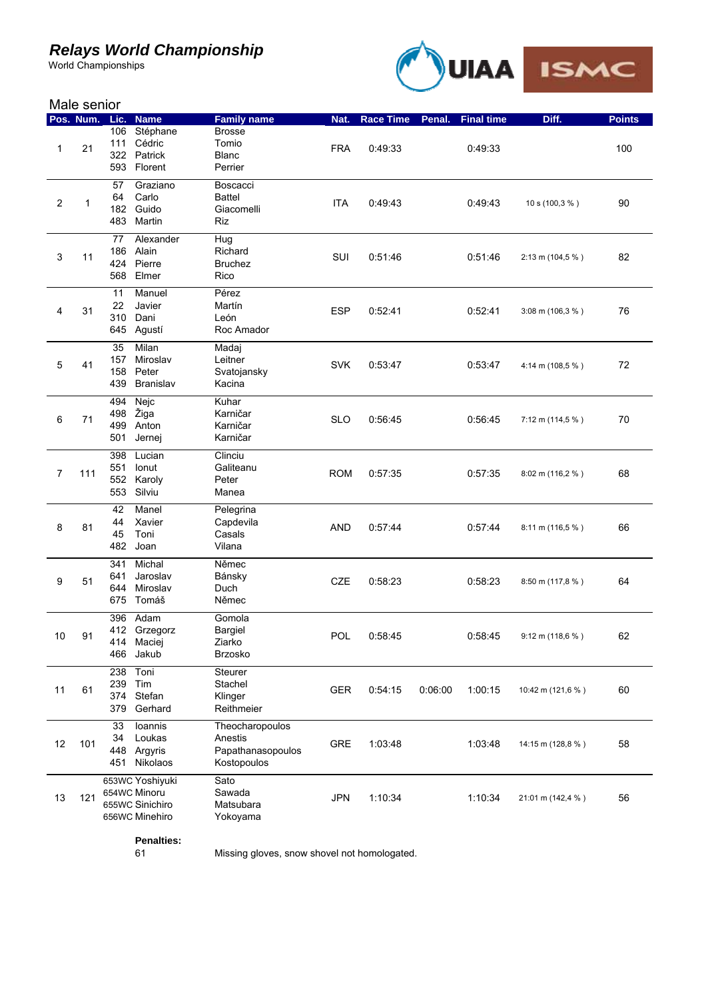## *Relays World Championship*

World Championships



|    | Male senior |                          |                                                                      |                                                                |            |                  |         |                   |                              |               |  |
|----|-------------|--------------------------|----------------------------------------------------------------------|----------------------------------------------------------------|------------|------------------|---------|-------------------|------------------------------|---------------|--|
|    | Pos. Num.   | Lic.                     | <b>Name</b>                                                          | <b>Family name</b>                                             | Nat.       | <b>Race Time</b> | Penal.  | <b>Final time</b> | Diff.                        | <b>Points</b> |  |
| 1  | 21          | 106<br>111<br>322<br>593 | Stéphane<br>Cédric<br>Patrick<br>Florent                             | <b>Brosse</b><br>Tomio<br><b>Blanc</b><br>Perrier              | <b>FRA</b> | 0:49:33          |         | 0:49:33           |                              | 100           |  |
| 2  | 1           | 57<br>64<br>182<br>483   | Graziano<br>Carlo<br>Guido<br>Martin                                 | Boscacci<br><b>Battel</b><br>Giacomelli<br>Riz                 | <b>ITA</b> | 0:49:43          |         | 0:49:43           | 10 s (100,3 %)               | 90            |  |
| 3  | 11          | 77<br>186<br>424<br>568  | Alexander<br>Alain<br>Pierre<br>Elmer                                | Hug<br>Richard<br><b>Bruchez</b><br>Rico                       | <b>SUI</b> | 0:51:46          |         | 0:51:46           | 2:13 m (104,5 %)             | 82            |  |
| 4  | 31          | 11<br>22<br>310          | Manuel<br>Javier<br>Dani<br>645 Agustí                               | Pérez<br>Martín<br>León<br>Roc Amador                          | <b>ESP</b> | 0:52:41          |         | 0:52:41           | $3:08 \text{ m} (106,3 \% )$ | 76            |  |
| 5  | 41          | 35<br>157<br>158<br>439  | Milan<br>Miroslav<br>Peter<br>Branislav                              | Madaj<br>Leitner<br>Svatojansky<br>Kacina                      | <b>SVK</b> | 0:53:47          |         | 0:53:47           | 4:14 m (108,5 %)             | 72            |  |
| 6  | 71          | 494<br>498<br>499<br>501 | Nejc<br>Žiga<br>Anton<br>Jernej                                      | Kuhar<br>Karničar<br>Karničar<br>Karničar                      | <b>SLO</b> | 0:56:45          |         | 0:56:45           | $7:12 \text{ m} (114.5 \%)$  | 70            |  |
| 7  | 111         | 398<br>551<br>552<br>553 | Lucian<br>Ionut<br>Karoly<br>Silviu                                  | Clinciu<br>Galiteanu<br>Peter<br>Manea                         | <b>ROM</b> | 0:57:35          |         | 0:57:35           | $8:02 \text{ m} (116,2 \%)$  | 68            |  |
| 8  | 81          | 42<br>44<br>45<br>482    | Manel<br>Xavier<br>Toni<br>Joan                                      | Pelegrina<br>Capdevila<br>Casals<br>Vilana                     | <b>AND</b> | 0:57:44          |         | 0:57:44           | 8:11 m (116,5 %)             | 66            |  |
| 9  | 51          | 341<br>641<br>644        | Michal<br>Jaroslav<br>Miroslav<br>675 Tomáš                          | Němec<br>Bánsky<br>Duch<br>Němec                               | CZE        | 0:58:23          |         | 0:58:23           | 8:50 m (117,8 %)             | 64            |  |
| 10 | 91          | 466                      | 396 Adam<br>412 Grzegorz<br>414 Maciej<br>Jakub                      | Gomola<br>Bargiel<br>Ziarko<br>Brzosko                         | POL        | 0:58:45          |         | 0:58:45           | 9:12 m (118,6 %)             | 62            |  |
| 11 | 61          | 238<br>239<br>379        | Toni<br>Tim<br>374 Stefan<br>Gerhard                                 | Steurer<br>Stachel<br>Klinger<br>Reithmeier                    | GER        | 0:54:15          | 0:06:00 | 1:00:15           | 10:42 m (121,6 %)            | 60            |  |
| 12 | 101         | 33<br>34<br>448<br>451   | Ioannis<br>Loukas<br>Argyris<br>Nikolaos                             | Theocharopoulos<br>Anestis<br>Papathanasopoulos<br>Kostopoulos | GRE        | 1:03:48          |         | 1:03:48           | 14:15 m (128,8 %)            | 58            |  |
| 13 | 121         |                          | 653WC Yoshiyuki<br>654WC Minoru<br>655WC Sinichiro<br>656WC Minehiro | Sato<br>Sawada<br>Matsubara<br>Yokoyama                        | <b>JPN</b> | 1:10:34          |         | 1:10:34           | 21:01 m (142,4 %)            | 56            |  |

**Penalties:**

Missing gloves, snow shovel not homologated.